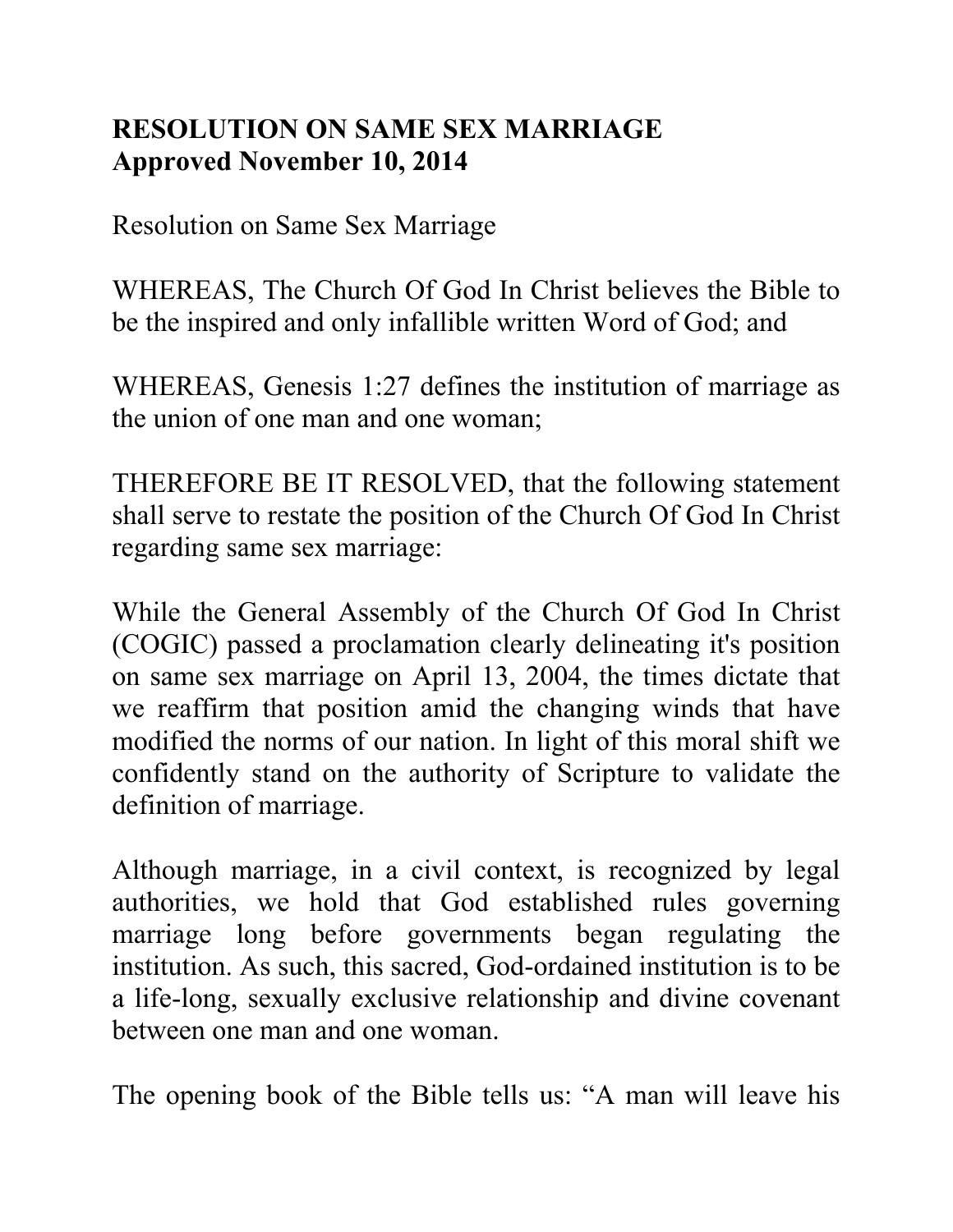## **RESOLUTION ON SAME SEX MARRIAGE Approved November 10, 2014**

Resolution on Same Sex Marriage

WHEREAS, The Church Of God In Christ believes the Bible to be the inspired and only infallible written Word of God; and

WHEREAS, Genesis 1:27 defines the institution of marriage as the union of one man and one woman;

THEREFORE BE IT RESOLVED, that the following statement shall serve to restate the position of the Church Of God In Christ regarding same sex marriage:

While the General Assembly of the Church Of God In Christ (COGIC) passed a proclamation clearly delineating it's position on same sex marriage on April 13, 2004, the times dictate that we reaffirm that position amid the changing winds that have modified the norms of our nation. In light of this moral shift we confidently stand on the authority of Scripture to validate the definition of marriage.

Although marriage, in a civil context, is recognized by legal authorities, we hold that God established rules governing marriage long before governments began regulating the institution. As such, this sacred, God-ordained institution is to be a life-long, sexually exclusive relationship and divine covenant between one man and one woman.

The opening book of the Bible tells us: "A man will leave his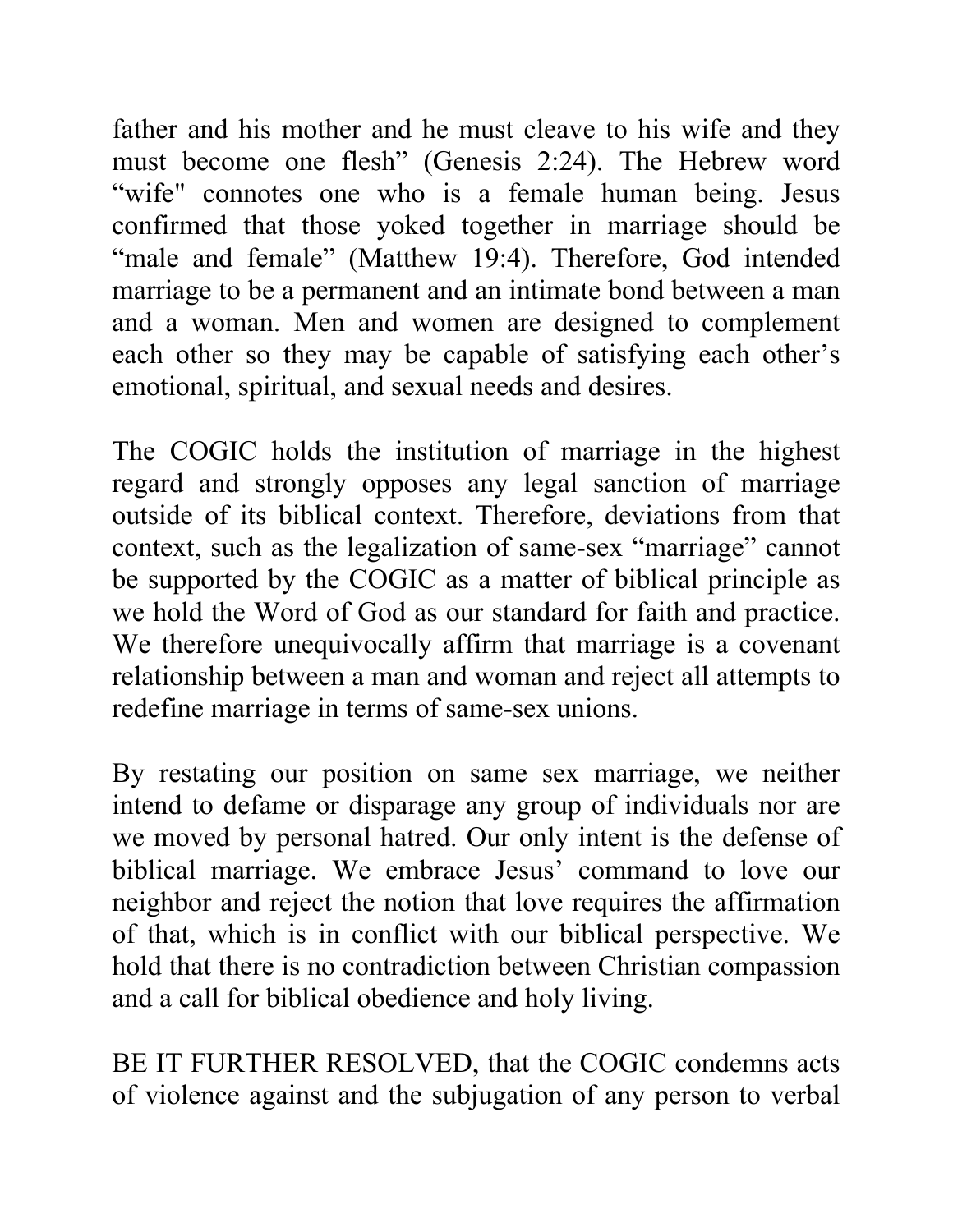father and his mother and he must cleave to his wife and they must become one flesh" (Genesis 2:24). The Hebrew word "wife" connotes one who is a female human being. Jesus confirmed that those yoked together in marriage should be "male and female" (Matthew 19:4). Therefore, God intended marriage to be a permanent and an intimate bond between a man and a woman. Men and women are designed to complement each other so they may be capable of satisfying each other's emotional, spiritual, and sexual needs and desires.

The COGIC holds the institution of marriage in the highest regard and strongly opposes any legal sanction of marriage outside of its biblical context. Therefore, deviations from that context, such as the legalization of same-sex "marriage" cannot be supported by the COGIC as a matter of biblical principle as we hold the Word of God as our standard for faith and practice. We therefore unequivocally affirm that marriage is a covenant relationship between a man and woman and reject all attempts to redefine marriage in terms of same-sex unions.

By restating our position on same sex marriage, we neither intend to defame or disparage any group of individuals nor are we moved by personal hatred. Our only intent is the defense of biblical marriage. We embrace Jesus' command to love our neighbor and reject the notion that love requires the affirmation of that, which is in conflict with our biblical perspective. We hold that there is no contradiction between Christian compassion and a call for biblical obedience and holy living.

BE IT FURTHER RESOLVED, that the COGIC condemns acts of violence against and the subjugation of any person to verbal